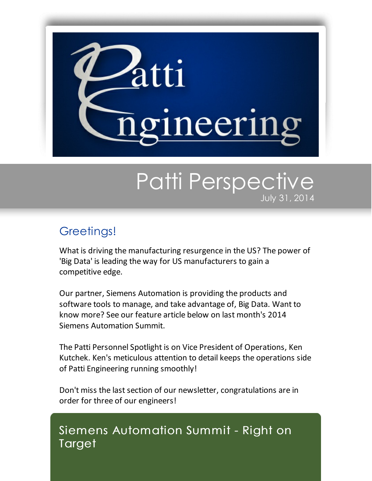

# Patti Perspective July 31, 2014

## Greetings!

What is driving the manufacturing resurgence in the US? The power of 'Big Data' is leading the way for US manufacturers to gain a competitive edge.

Our partner, Siemens Automation is providing the products and software tools to manage, and take advantage of, Big Data. Want to know more? See our feature article below on last month's 2014 Siemens Automation Summit.

The Patti Personnel Spotlight is on Vice President of Operations, Ken Kutchek. Ken's meticulous attention to detail keeps the operations side of Patti Engineering running smoothly!

Don't miss the last section of our newsletter, congratulations are in order for three of our engineers!

### Siemens Automation Summit - Right on **Target**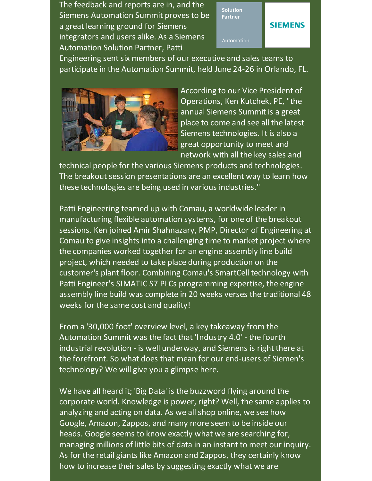The feedback and reports are in, and the Siemens Automation Summit proves to be a great learning ground for Siemens integrators and users alike. As a Siemens Automation Solution Partner, Patti



Engineering sent six members of our executive and sales teams to participate in the Automation Summit, held June 24-26 in Orlando, FL.



According to our Vice President of Operations, Ken Kutchek, PE, "the annual Siemens Summit is a great place to come and see all the latest Siemens technologies. It is also a great opportunity to meet and network with all the key sales and

technical people for the various Siemens products and technologies. The breakout session presentations are an excellent way to learn how these technologies are being used in various industries."

Patti Engineering teamed up with Comau, a worldwide leader in manufacturing flexible automation systems, for one of the breakout sessions. Ken joined Amir Shahnazary, PMP, Director of Engineering at Comau to give insights into a challenging time to market project where the companies worked together for an engine assembly line build project, which needed to take place during production on the customer's plant floor. Combining Comau's SmartCell technology with Patti Engineer's SIMATIC S7 PLCs programming expertise, the engine assembly line build was complete in 20 weeks verses the traditional 48 weeks for the same cost and quality!

From a '30,000 foot' overview level, a key takeaway from the Automation Summit was the fact that 'Industry 4.0' - the fourth industrial revolution - is well underway, and Siemens is right there at the forefront. So what does that mean for our end-users of Siemen's technology? We will give you a glimpse here.

We have all heard it; 'Big Data' is the buzzword flying around the corporate world. Knowledge is power, right? Well, the same applies to analyzing and acting on data. As we allshop online, we see how Google, Amazon, Zappos, and many more seem to be inside our heads. Google seems to know exactly what we are searching for, managing millions of little bits of data in an instant to meet our inquiry. As for the retail giants like Amazon and Zappos, they certainly know how to increase their sales by suggesting exactly what we are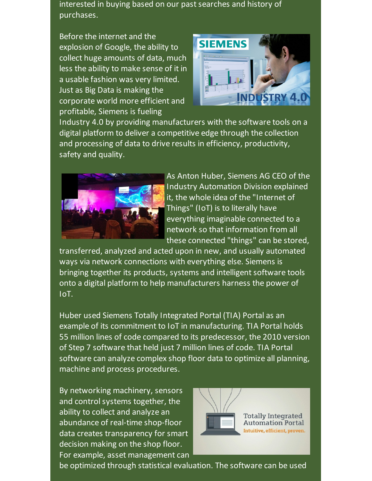interested in buying based on our past searches and history of purchases.

Before the internet and the explosion of Google, the ability to collect huge amounts of data, much less the ability to make sense of it in a usable fashion was very limited. Just as Big Data is making the corporate world more efficient and profitable, Siemens is fueling



Industry 4.0 by providing manufacturers with the software tools on a digital platform to deliver a competitive edge through the collection and processing of data to drive results in efficiency, productivity, safety and quality.



As Anton Huber, Siemens AG CEO of the Industry Automation Division explained it, the whole idea of the "Internet of Things" (IoT) is to literally have everything imaginable connected to a network so that information from all these connected "things" can be stored,

transferred, analyzed and acted upon in new, and usually automated ways via network connections with everything else. Siemens is bringing together its products, systems and intelligent software tools onto a digital platform to help manufacturers harness the power of IoT.

Huber used Siemens Totally Integrated Portal (TIA) Portal as an example of its commitment to IoT in manufacturing. TIA Portal holds 55 million lines of code compared to its predecessor, the 2010 version of Step 7 software that held just 7 million lines of code. TIA Portal software can analyze complex shop floor data to optimize all planning, machine and process procedures.

By networking machinery, sensors and control systems together, the ability to collect and analyze an abundance of real-time shop-floor data creates transparency for smart decision making on the shop floor. For example, asset management can



be optimized through statistical evaluation. The software can be used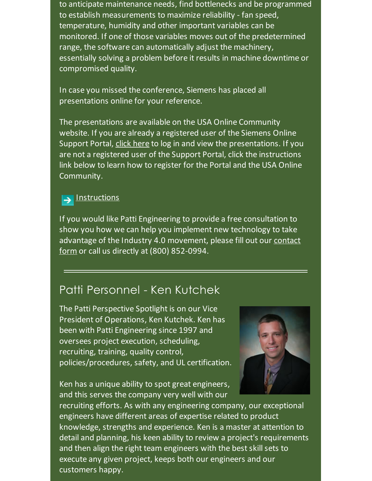to anticipate maintenance needs, find bottlenecks and be programmed to establish measurements to maximize reliability - fan speed, temperature, humidity and other important variables can be monitored. If one of those variables moves out of the predetermined range, the software can automatically adjust the machinery, essentially solving a problem before it results in machine downtime or compromised quality.

In case you missed the conference, Siemens has placed all presentations online for your reference.

The presentations are available on the USA Online Community website. If you are already a registered user of the Siemens Online Support Portal, click [here](http://links.mkt2196.com/ctt?kn=196&ms=MjExMjU5MDQS1&r=NzA3MTQ2NzQ0NwS2&b=0&j=MzYwODM4OTg4S0&mt=1&rt=0&utm_source=Patti+Perspective_July_2014&utm_campaign=Newsletter+March+2014&utm_medium=email) to log in and view the presentations. If you are not a registered user of the Support Portal, click the instructions link below to learn how to register for the Portal and the USA Online Community.

#### **[Instructions](http://www.industry.usa.siemens.com/automation/us/en/process-control-system/Documents/extranet-registration.pdf?spMailingID=21125904&spUserID=NzA3MTQ2NzQ0NwS2&spJobID=360838988&spReportId=MzYwODM4OTg4S0&utm_source=Patti+Perspective_July_2014&utm_campaign=Newsletter+March+2014&utm_medium=email)** →

If you would like Patti Engineering to provide a free consultation to show you how we can help you implement new technology to take advantage of the Industry 4.0 [movement,](http://pattiengineering.com/contact/?utm_source=Patti+Perspective_July_2014&utm_campaign=Newsletter+March+2014&utm_medium=email) please fill out our contact form or call us directly at (800) 852-0994.

### Patti Personnel - Ken Kutchek

The Patti Perspective Spotlight is on our Vice President of Operations, Ken Kutchek. Ken has been with Patti Engineering since 1997 and oversees project execution, scheduling, recruiting, training, quality control, policies/procedures, safety, and UL certification.

Ken has a unique ability to spot great engineers, and this serves the company very well with our



recruiting efforts. As with any engineering company, our exceptional engineers have different areas of expertise related to product knowledge, strengths and experience. Ken is a master at attention to detail and planning, his keen ability to review a project's requirements and then align the right team engineers with the best skill sets to execute any given project, keeps both our engineers and our customers happy.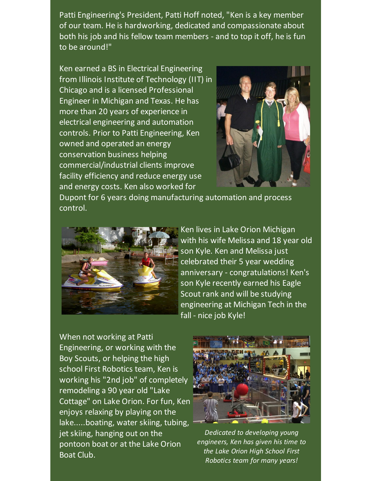Patti Engineering's President, Patti Hoff noted, "Ken is a key member of our team. He is hardworking, dedicated and compassionate about both his job and his fellow team members - and to top it off, he is fun to be around!"

Ken earned a BS in Electrical Engineering from Illinois Institute of Technology (IIT) in Chicago and is a licensed Professional Engineer in Michigan and Texas. He has more than 20 years of experience in electrical engineering and automation controls. Prior to Patti Engineering, Ken owned and operated an energy conservation business helping commercial/industrial clients improve facility efficiency and reduce energy use and energy costs. Ken also worked for



Dupont for 6 years doing manufacturing automation and process control.



Ken lives in Lake Orion Michigan with his wife Melissa and 18 year old son Kyle. Ken and Melissa just celebrated their 5 year wedding anniversary - congratulations! Ken's son Kyle recently earned his Eagle Scout rank and will be studying engineering at Michigan Tech in the fall - nice job Kyle!

When not working at Patti Engineering, or working with the Boy Scouts, or helping the high school First Robotics team, Ken is working his "2nd job" of completely remodeling a 90 year old "Lake Cottage" on Lake Orion. For fun, Ken enjoys relaxing by playing on the lake.....boating, water skiing, tubing, jet skiing, hanging out on the pontoon boat or at the Lake Orion Boat Club.



*Dedicated to developing young engineers, Ken has given his time to the Lake Orion High School First Robotics team for many years!*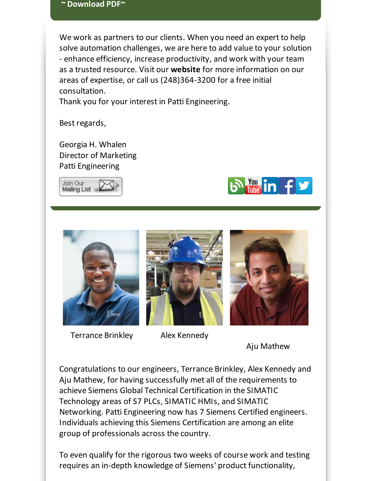### **~ [Download](https://origin.library.constantcontact.com/doc205/1101449641109/doc/xOYyAPQWiSNewYwQ.pdf) PDF~**

We work as partners to our clients. When you need an expert to help solve automation challenges, we are here to add value to your solution - enhance efficiency, increase productivity, and work with your team as a trusted resource. Visit our **[website](http://www.pattieng.com/expertise.html?utm_source=Patti+Perspective_July_2014&utm_campaign=Newsletter+March+2014&utm_medium=email)** for more information on our areas of expertise, or call us (248)364-3200 for a free initial consultation.

Thank you for your interest in Patti Engineering.

Best regards,

Georgia H. Whalen Director of Marketing Patti Engineering







Terrance Brinkley Alex Kennedy





Aju Mathew

Congratulations to our engineers, Terrance Brinkley, Alex Kennedy and Aju Mathew, for having successfully met all of the requirements to achieve Siemens Global Technical Certification in the SIMATIC Technology areas of S7 PLCs, SIMATIC HMIs, and SIMATIC Networking. Patti Engineering now has 7 Siemens Certified engineers. Individuals achieving this Siemens Certification are among an elite group of professionals across the country.

To even qualify for the rigorous two weeks of course work and testing requires an in-depth knowledge of Siemens' product functionality,